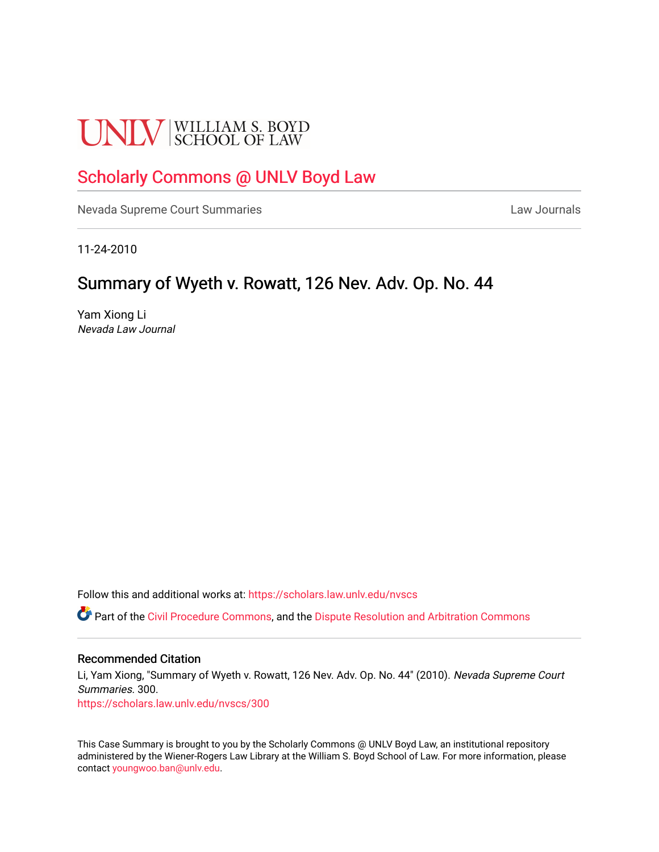# **UNLV** SCHOOL OF LAW

## [Scholarly Commons @ UNLV Boyd Law](https://scholars.law.unlv.edu/)

[Nevada Supreme Court Summaries](https://scholars.law.unlv.edu/nvscs) **Law Journals** Law Journals

11-24-2010

### Summary of Wyeth v. Rowatt, 126 Nev. Adv. Op. No. 44

Yam Xiong Li Nevada Law Journal

Follow this and additional works at: [https://scholars.law.unlv.edu/nvscs](https://scholars.law.unlv.edu/nvscs?utm_source=scholars.law.unlv.edu%2Fnvscs%2F300&utm_medium=PDF&utm_campaign=PDFCoverPages)

**C** Part of the [Civil Procedure Commons,](http://network.bepress.com/hgg/discipline/584?utm_source=scholars.law.unlv.edu%2Fnvscs%2F300&utm_medium=PDF&utm_campaign=PDFCoverPages) and the Dispute Resolution and Arbitration Commons

#### Recommended Citation

Li, Yam Xiong, "Summary of Wyeth v. Rowatt, 126 Nev. Adv. Op. No. 44" (2010). Nevada Supreme Court Summaries. 300.

[https://scholars.law.unlv.edu/nvscs/300](https://scholars.law.unlv.edu/nvscs/300?utm_source=scholars.law.unlv.edu%2Fnvscs%2F300&utm_medium=PDF&utm_campaign=PDFCoverPages)

This Case Summary is brought to you by the Scholarly Commons @ UNLV Boyd Law, an institutional repository administered by the Wiener-Rogers Law Library at the William S. Boyd School of Law. For more information, please contact [youngwoo.ban@unlv.edu](mailto:youngwoo.ban@unlv.edu).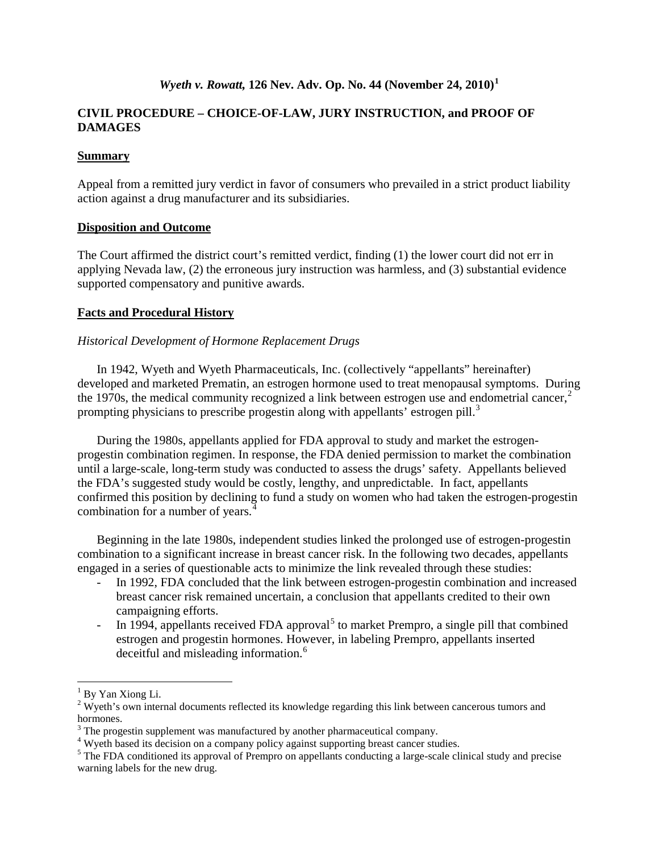#### *Wyeth v. Rowatt,* **126 Nev. Adv. Op. No. 44 (November 24, 2010)[1](#page-1-0)**

#### **CIVIL PROCEDURE – CHOICE-OF-LAW, JURY INSTRUCTION, and PROOF OF DAMAGES**

#### **Summary**

Appeal from a remitted jury verdict in favor of consumers who prevailed in a strict product liability action against a drug manufacturer and its subsidiaries.

#### **Disposition and Outcome**

The Court affirmed the district court's remitted verdict, finding (1) the lower court did not err in applying Nevada law, (2) the erroneous jury instruction was harmless, and (3) substantial evidence supported compensatory and punitive awards.

#### **Facts and Procedural History**

#### *Historical Development of Hormone Replacement Drugs*

In 1942, Wyeth and Wyeth Pharmaceuticals, Inc. (collectively "appellants" hereinafter) developed and marketed Prematin, an estrogen hormone used to treat menopausal symptoms. During the 1970s, the medical community recognized a link between estrogen use and endometrial cancer, $2$ prompting physicians to prescribe progestin along with appellants' estrogen pill.<sup>[3](#page-1-2)</sup>

During the 1980s, appellants applied for FDA approval to study and market the estrogenprogestin combination regimen. In response, the FDA denied permission to market the combination until a large-scale, long-term study was conducted to assess the drugs' safety. Appellants believed the FDA's suggested study would be costly, lengthy, and unpredictable. In fact, appellants confirmed this position by declining to fund a study on women who had taken the estrogen-progestin combination for a number of years.<sup>[4](#page-1-3)</sup>

Beginning in the late 1980s, independent studies linked the prolonged use of estrogen-progestin combination to a significant increase in breast cancer risk. In the following two decades, appellants engaged in a series of questionable acts to minimize the link revealed through these studies:

- In 1992, FDA concluded that the link between estrogen-progestin combination and increased breast cancer risk remained uncertain, a conclusion that appellants credited to their own campaigning efforts.
- In 1994, appellants received FDA approval<sup>[5](#page-1-4)</sup> to market Prempro, a single pill that combined estrogen and progestin hormones. However, in labeling Prempro, appellants inserted deceitful and misleading information.<sup>[6](#page-1-5)</sup>

<span id="page-1-5"></span><span id="page-1-1"></span><span id="page-1-0"></span><sup>&</sup>lt;sup>1</sup> By Yan Xiong Li.<br><sup>2</sup> Wyeth's own internal documents reflected its knowledge regarding this link between cancerous tumors and hormones.

<span id="page-1-2"></span> $3$  The progestin supplement was manufactured by another pharmaceutical company.<br> $4$  Wyeth based its decision on a company policy against supporting breast cancer studies.

<span id="page-1-4"></span><span id="page-1-3"></span> $<sup>5</sup>$  The FDA conditioned its approval of Prempro on appellants conducting a large-scale clinical study and precise</sup> warning labels for the new drug.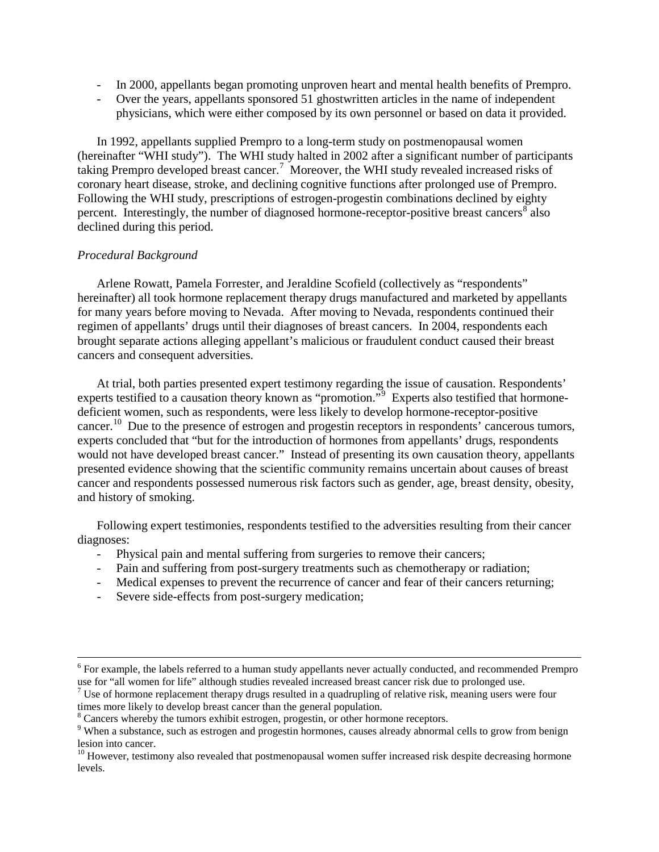- In 2000, appellants began promoting unproven heart and mental health benefits of Prempro.
- Over the years, appellants sponsored 51 ghostwritten articles in the name of independent physicians, which were either composed by its own personnel or based on data it provided.

In 1992, appellants supplied Prempro to a long-term study on postmenopausal women (hereinafter "WHI study"). The WHI study halted in 2002 after a significant number of participants taking Prempro developed breast cancer.[7](#page-2-0) Moreover, the WHI study revealed increased risks of coronary heart disease, stroke, and declining cognitive functions after prolonged use of Prempro. Following the WHI study, prescriptions of estrogen-progestin combinations declined by eighty percent. Interestingly, the number of diagnosed hormone-receptor-positive breast cancers<sup>[8](#page-2-1)</sup> also declined during this period.

#### *Procedural Background*

Arlene Rowatt, Pamela Forrester, and Jeraldine Scofield (collectively as "respondents" hereinafter) all took hormone replacement therapy drugs manufactured and marketed by appellants for many years before moving to Nevada. After moving to Nevada, respondents continued their regimen of appellants' drugs until their diagnoses of breast cancers. In 2004, respondents each brought separate actions alleging appellant's malicious or fraudulent conduct caused their breast cancers and consequent adversities.

At trial, both parties presented expert testimony regarding the issue of causation. Respondents' experts testified to a causation theory known as "promotion."<sup>[9](#page-2-2)</sup> Experts also testified that hormonedeficient women, such as respondents, were less likely to develop hormone-receptor-positive cancer.<sup>[10](#page-2-3)</sup> Due to the presence of estrogen and progestin receptors in respondents' cancerous tumors, experts concluded that "but for the introduction of hormones from appellants' drugs, respondents would not have developed breast cancer." Instead of presenting its own causation theory, appellants presented evidence showing that the scientific community remains uncertain about causes of breast cancer and respondents possessed numerous risk factors such as gender, age, breast density, obesity, and history of smoking.

Following expert testimonies, respondents testified to the adversities resulting from their cancer diagnoses:

- Physical pain and mental suffering from surgeries to remove their cancers;
- Pain and suffering from post-surgery treatments such as chemotherapy or radiation;
- Medical expenses to prevent the recurrence of cancer and fear of their cancers returning;
- Severe side-effects from post-surgery medication;

 $6$  For example, the labels referred to a human study appellants never actually conducted, and recommended Prempro use for "all women for life" although studies revealed increased breast cancer risk due to prolonged use.

<span id="page-2-0"></span><sup>&</sup>lt;sup>7</sup> Use of hormone replacement therapy drugs resulted in a quadrupling of relative risk, meaning users were four times more likely to develop breast cancer than the general population.<br><sup>8</sup> Cancers whereby the tumors exhibit estrogen, progestin, or other hormone receptors.

<span id="page-2-2"></span><span id="page-2-1"></span><sup>&</sup>lt;sup>9</sup> When a substance, such as estrogen and progestin hormones, causes already abnormal cells to grow from benign lesion into cancer.<br><sup>10</sup> However, testimony also revealed that postmenopausal women suffer increased risk despite decreasing hormone

<span id="page-2-3"></span>levels.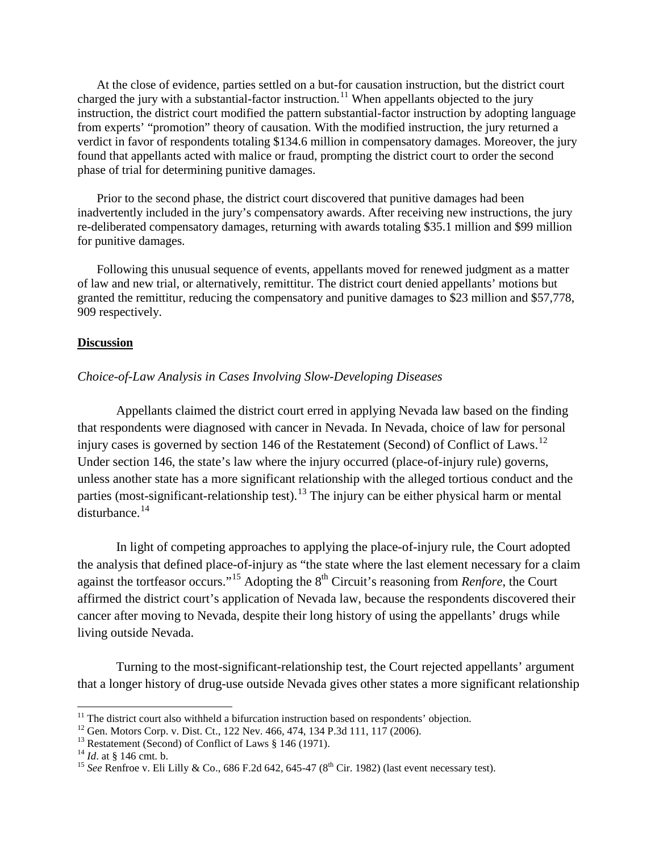At the close of evidence, parties settled on a but-for causation instruction, but the district court charged the jury with a substantial-factor instruction.<sup>[11](#page-3-0)</sup> When appellants objected to the jury instruction, the district court modified the pattern substantial-factor instruction by adopting language from experts' "promotion" theory of causation. With the modified instruction, the jury returned a verdict in favor of respondents totaling \$134.6 million in compensatory damages. Moreover, the jury found that appellants acted with malice or fraud, prompting the district court to order the second phase of trial for determining punitive damages.

Prior to the second phase, the district court discovered that punitive damages had been inadvertently included in the jury's compensatory awards. After receiving new instructions, the jury re-deliberated compensatory damages, returning with awards totaling \$35.1 million and \$99 million for punitive damages.

Following this unusual sequence of events, appellants moved for renewed judgment as a matter of law and new trial, or alternatively, remittitur. The district court denied appellants' motions but granted the remittitur, reducing the compensatory and punitive damages to \$23 million and \$57,778, 909 respectively.

#### **Discussion**

#### *Choice-of-Law Analysis in Cases Involving Slow-Developing Diseases*

Appellants claimed the district court erred in applying Nevada law based on the finding that respondents were diagnosed with cancer in Nevada. In Nevada, choice of law for personal injury cases is governed by section 146 of the Restatement (Second) of Conflict of Laws.<sup>[12](#page-3-1)</sup> Under section 146, the state's law where the injury occurred (place-of-injury rule) governs, unless another state has a more significant relationship with the alleged tortious conduct and the parties (most-significant-relationship test).<sup>[13](#page-3-2)</sup> The injury can be either physical harm or mental disturbance.[14](#page-3-3)

In light of competing approaches to applying the place-of-injury rule, the Court adopted the analysis that defined place-of-injury as "the state where the last element necessary for a claim against the tortfeasor occurs."<sup>[15](#page-3-4)</sup> Adopting the 8<sup>th</sup> Circuit's reasoning from *Renfore*, the Court affirmed the district court's application of Nevada law, because the respondents discovered their cancer after moving to Nevada, despite their long history of using the appellants' drugs while living outside Nevada.

Turning to the most-significant-relationship test, the Court rejected appellants' argument that a longer history of drug-use outside Nevada gives other states a more significant relationship

<span id="page-3-0"></span><sup>&</sup>lt;sup>11</sup> The district court also withheld a bifurcation instruction based on respondents' objection.<br><sup>12</sup> Gen. Motors Corp. v. Dist. Ct., 122 Nev. 466, 474, 134 P.3d 111, 117 (2006).<br><sup>13</sup> Restatement (Second) of Conflict of L

<span id="page-3-1"></span>

<span id="page-3-3"></span><span id="page-3-2"></span>

<span id="page-3-4"></span>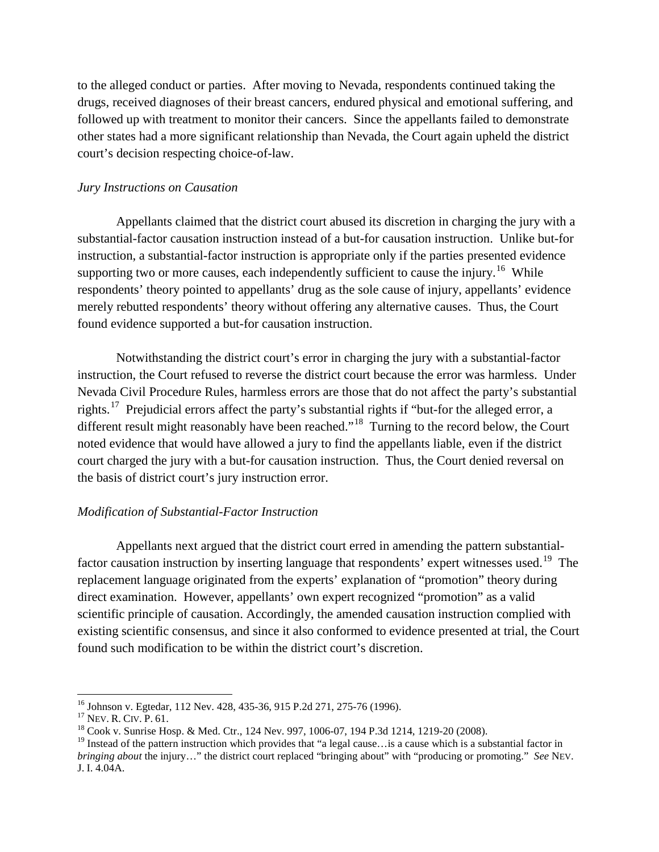to the alleged conduct or parties. After moving to Nevada, respondents continued taking the drugs, received diagnoses of their breast cancers, endured physical and emotional suffering, and followed up with treatment to monitor their cancers. Since the appellants failed to demonstrate other states had a more significant relationship than Nevada, the Court again upheld the district court's decision respecting choice-of-law.

#### *Jury Instructions on Causation*

Appellants claimed that the district court abused its discretion in charging the jury with a substantial-factor causation instruction instead of a but-for causation instruction. Unlike but-for instruction, a substantial-factor instruction is appropriate only if the parties presented evidence supporting two or more causes, each independently sufficient to cause the injury.<sup>[16](#page-4-0)</sup> While respondents' theory pointed to appellants' drug as the sole cause of injury, appellants' evidence merely rebutted respondents' theory without offering any alternative causes. Thus, the Court found evidence supported a but-for causation instruction.

Notwithstanding the district court's error in charging the jury with a substantial-factor instruction, the Court refused to reverse the district court because the error was harmless. Under Nevada Civil Procedure Rules, harmless errors are those that do not affect the party's substantial rights.[17](#page-4-1) Prejudicial errors affect the party's substantial rights if "but-for the alleged error, a different result might reasonably have been reached."<sup>[18](#page-4-2)</sup> Turning to the record below, the Court noted evidence that would have allowed a jury to find the appellants liable, even if the district court charged the jury with a but-for causation instruction. Thus, the Court denied reversal on the basis of district court's jury instruction error.

#### *Modification of Substantial-Factor Instruction*

Appellants next argued that the district court erred in amending the pattern substantial-factor causation instruction by inserting language that respondents' expert witnesses used.<sup>[19](#page-4-3)</sup> The replacement language originated from the experts' explanation of "promotion" theory during direct examination. However, appellants' own expert recognized "promotion" as a valid scientific principle of causation. Accordingly, the amended causation instruction complied with existing scientific consensus, and since it also conformed to evidence presented at trial, the Court found such modification to be within the district court's discretion.

<span id="page-4-1"></span>

<span id="page-4-0"></span><sup>&</sup>lt;sup>16</sup> Johnson v. Egtedar, 112 Nev. 428, 435-36, 915 P.2d 271, 275-76 (1996).<br><sup>17</sup> Nev. R. CIV. P. 61.<br><sup>18</sup> Cook v. Sunrise Hosp. & Med. Ctr., 124 Nev. 997, 1006-07, 194 P.3d 1214, 1219-20 (2008).<br><sup>19</sup> Instead of the patter

<span id="page-4-3"></span><span id="page-4-2"></span>*bringing about* the injury…" the district court replaced "bringing about" with "producing or promoting." *See* NEV. J. I. 4.04A.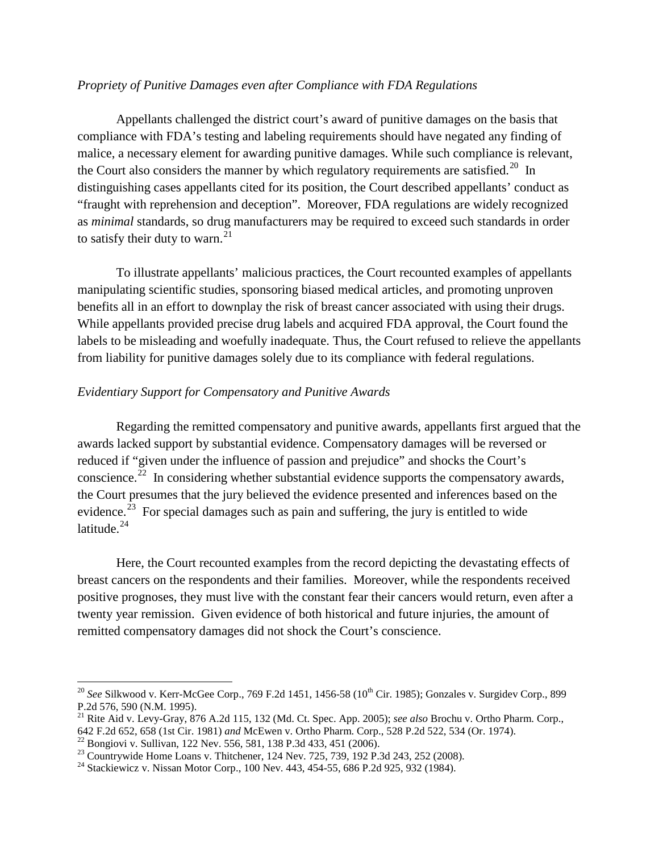#### *Propriety of Punitive Damages even after Compliance with FDA Regulations*

Appellants challenged the district court's award of punitive damages on the basis that compliance with FDA's testing and labeling requirements should have negated any finding of malice, a necessary element for awarding punitive damages. While such compliance is relevant, the Court also considers the manner by which regulatory requirements are satisfied.<sup>[20](#page-5-0)</sup> In distinguishing cases appellants cited for its position, the Court described appellants' conduct as "fraught with reprehension and deception". Moreover, FDA regulations are widely recognized as *minimal* standards, so drug manufacturers may be required to exceed such standards in order to satisfy their duty to warn. $^{21}$  $^{21}$  $^{21}$ 

To illustrate appellants' malicious practices, the Court recounted examples of appellants manipulating scientific studies, sponsoring biased medical articles, and promoting unproven benefits all in an effort to downplay the risk of breast cancer associated with using their drugs. While appellants provided precise drug labels and acquired FDA approval, the Court found the labels to be misleading and woefully inadequate. Thus, the Court refused to relieve the appellants from liability for punitive damages solely due to its compliance with federal regulations.

#### *Evidentiary Support for Compensatory and Punitive Awards*

Regarding the remitted compensatory and punitive awards, appellants first argued that the awards lacked support by substantial evidence. Compensatory damages will be reversed or reduced if "given under the influence of passion and prejudice" and shocks the Court's conscience.<sup>[22](#page-5-2)</sup> In considering whether substantial evidence supports the compensatory awards, the Court presumes that the jury believed the evidence presented and inferences based on the evidence.<sup>[23](#page-5-3)</sup> For special damages such as pain and suffering, the jury is entitled to wide latitude. $24$ 

Here, the Court recounted examples from the record depicting the devastating effects of breast cancers on the respondents and their families. Moreover, while the respondents received positive prognoses, they must live with the constant fear their cancers would return, even after a twenty year remission. Given evidence of both historical and future injuries, the amount of remitted compensatory damages did not shock the Court's conscience.

<span id="page-5-0"></span><sup>&</sup>lt;sup>20</sup> See Silkwood v. Kerr-McGee Corp., 769 F.2d 1451, 1456-58 (10<sup>th</sup> Cir. 1985); Gonzales v. Surgidev Corp., 899 P.2d 576, 590 (N.M. 1995).

<span id="page-5-1"></span><sup>&</sup>lt;sup>21</sup> Rite Aid v. Levy-Gray, 876 A.2d 115, 132 (Md. Ct. Spec. App. 2005); *see also* Brochu v. Ortho Pharm. Corp., 642 F.2d 652, 658 (1st Cir. 1981) *and* McEwen v. Ortho Pharm. Corp., 528 P.2d 522, 534 (Or. 1974).

<span id="page-5-3"></span><span id="page-5-2"></span><sup>&</sup>lt;sup>22</sup> Bongiovi v. Sullivan, 122 Nev. 556, 581, 138 P.3d 433, 451 (2006).<br><sup>23</sup> Countrywide Home Loans v. Thitchener, 124 Nev. 725, 739, 192 P.3d 243, 252 (2008).<br><sup>24</sup> Stackiewicz v. Nissan Motor Corp., 100 Nev. 443, 454-55,

<span id="page-5-4"></span>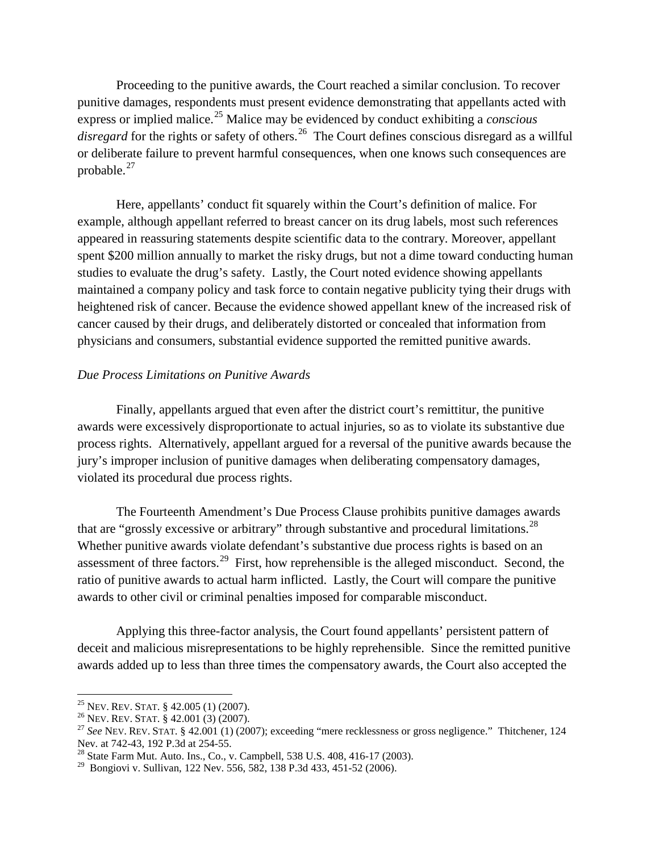Proceeding to the punitive awards, the Court reached a similar conclusion. To recover punitive damages, respondents must present evidence demonstrating that appellants acted with express or implied malice.[25](#page-6-0) Malice may be evidenced by conduct exhibiting a *conscious*  disregard for the rights or safety of others.<sup>[26](#page-6-1)</sup> The Court defines conscious disregard as a willful or deliberate failure to prevent harmful consequences, when one knows such consequences are probable. $^{27}$  $^{27}$  $^{27}$ 

Here, appellants' conduct fit squarely within the Court's definition of malice. For example, although appellant referred to breast cancer on its drug labels, most such references appeared in reassuring statements despite scientific data to the contrary. Moreover, appellant spent \$200 million annually to market the risky drugs, but not a dime toward conducting human studies to evaluate the drug's safety. Lastly, the Court noted evidence showing appellants maintained a company policy and task force to contain negative publicity tying their drugs with heightened risk of cancer. Because the evidence showed appellant knew of the increased risk of cancer caused by their drugs, and deliberately distorted or concealed that information from physicians and consumers, substantial evidence supported the remitted punitive awards.

#### *Due Process Limitations on Punitive Awards*

Finally, appellants argued that even after the district court's remittitur, the punitive awards were excessively disproportionate to actual injuries, so as to violate its substantive due process rights. Alternatively, appellant argued for a reversal of the punitive awards because the jury's improper inclusion of punitive damages when deliberating compensatory damages, violated its procedural due process rights.

The Fourteenth Amendment's Due Process Clause prohibits punitive damages awards that are "grossly excessive or arbitrary" through substantive and procedural limitations.<sup>[28](#page-6-3)</sup> Whether punitive awards violate defendant's substantive due process rights is based on an assessment of three factors.<sup>[29](#page-6-4)</sup> First, how reprehensible is the alleged misconduct. Second, the ratio of punitive awards to actual harm inflicted. Lastly, the Court will compare the punitive awards to other civil or criminal penalties imposed for comparable misconduct.

Applying this three-factor analysis, the Court found appellants' persistent pattern of deceit and malicious misrepresentations to be highly reprehensible. Since the remitted punitive awards added up to less than three times the compensatory awards, the Court also accepted the

<span id="page-6-2"></span>

<span id="page-6-1"></span><span id="page-6-0"></span><sup>&</sup>lt;sup>25</sup> NEV. REV. STAT. § 42.005 (1) (2007).<br><sup>26</sup> NEV. REV. STAT. § 42.001 (3) (2007).<br><sup>27</sup> *See* NEV. REV. STAT. § 42.001 (1) (2007); exceeding "mere recklessness or gross negligence." Thitchener, 124<br>Nev. at 742-43, 192 P.3

<span id="page-6-3"></span> $^{28}$  State Farm Mut. Auto. Ins., Co., v. Campbell, 538 U.S. 408, 416-17 (2003).

<span id="page-6-4"></span><sup>&</sup>lt;sup>29</sup> Bongiovi v. Sullivan, 122 Nev. 556, 582, 138 P.3d 433, 451-52 (2006).